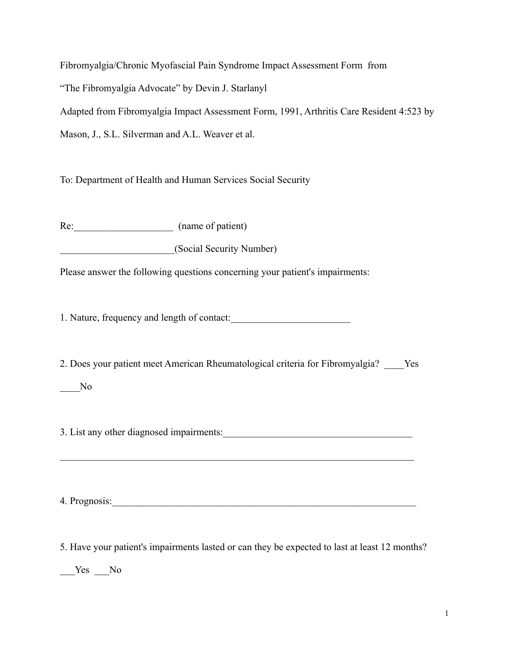Fibromyalgia/Chronic Myofascial Pain Syndrome Impact Assessment Form from "The Fibromyalgia Advocate" by Devin J. Starlanyl Adapted from Fibromyalgia Impact Assessment Form, 1991, Arthritis Care Resident 4:523 by Mason, J., S.L. Silverman and A.L. Weaver et al.

To: Department of Health and Human Services Social Security

Re: (name of patient)

\_\_\_\_\_\_\_\_\_\_\_\_\_\_\_\_\_\_\_\_\_\_\_(Social Security Number)

Please answer the following questions concerning your patient's impairments:

1. Nature, frequency and length of contact:

2. Does your patient meet American Rheumatological criteria for Fibromyalgia? Yes

## \_\_\_\_No

3. List any other diagnosed impairments:

 $\mathcal{L}_\text{max} = \mathcal{L}_\text{max} = \mathcal{L}_\text{max} = \mathcal{L}_\text{max} = \mathcal{L}_\text{max} = \mathcal{L}_\text{max} = \mathcal{L}_\text{max} = \mathcal{L}_\text{max} = \mathcal{L}_\text{max} = \mathcal{L}_\text{max} = \mathcal{L}_\text{max} = \mathcal{L}_\text{max} = \mathcal{L}_\text{max} = \mathcal{L}_\text{max} = \mathcal{L}_\text{max} = \mathcal{L}_\text{max} = \mathcal{L}_\text{max} = \mathcal{L}_\text{max} = \mathcal{$ 

4. Prognosis:\_\_\_\_\_\_\_\_\_\_\_\_\_\_\_\_\_\_\_\_\_\_\_\_\_\_\_\_\_\_\_\_\_\_\_\_\_\_\_\_\_\_\_\_\_\_\_\_\_\_\_\_\_\_\_\_\_\_\_\_\_

5. Have your patient's impairments lasted or can they be expected to last at least 12 months?

 $Yes$  No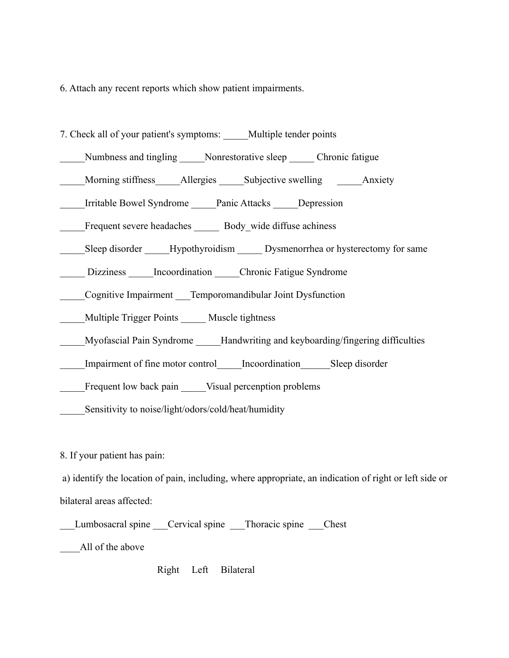6. Attach any recent reports which show patient impairments.

| 7. Check all of your patient's symptoms: _____Multiple tender points             |
|----------------------------------------------------------------------------------|
| Numbness and tingling ______ Nonrestorative sleep _______ Chronic fatigue        |
| Morning stiffness Allergies Subjective swelling Anxiety                          |
| Irritable Bowel Syndrome Panic Attacks Depression                                |
| Frequent severe headaches ______ Body_wide diffuse achiness                      |
| Sleep disorder _____Hypothyroidism ______ Dysmenorrhea or hysterectomy for same  |
| Dizziness Incoordination Chronic Fatigue Syndrome                                |
| Cognitive Impairment ___ Temporomandibular Joint Dysfunction                     |
| Multiple Trigger Points ______ Muscle tightness                                  |
| Myofascial Pain Syndrome _____Handwriting and keyboarding/fingering difficulties |
| Impairment of fine motor control lncoordination Sleep disorder                   |
| Frequent low back pain _____Visual percenption problems                          |
| Sensitivity to noise/light/odors/cold/heat/humidity                              |

8. If your patient has pain:

 a) identify the location of pain, including, where appropriate, an indication of right or left side or bilateral areas affected:

\_\_\_Lumbosacral spine \_\_\_Cervical spine \_\_\_Thoracic spine \_\_\_Chest \_\_\_\_\_All of the above

Right Left Bilateral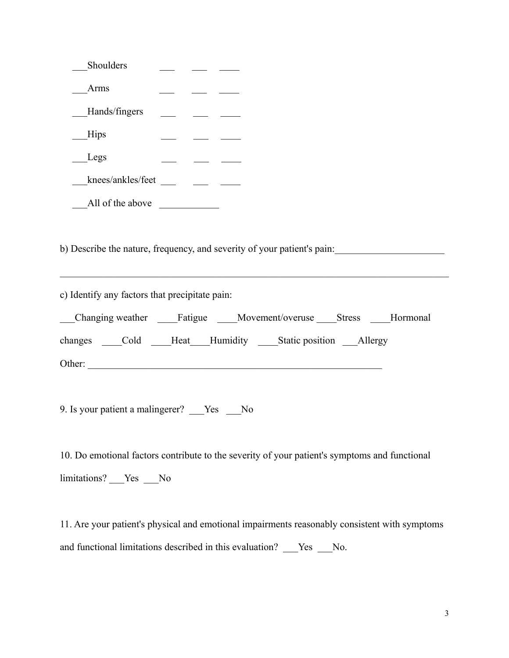| Shoulders                                                                                     |  |  |
|-----------------------------------------------------------------------------------------------|--|--|
| Arms                                                                                          |  |  |
| Hands/fingers                                                                                 |  |  |
| Hips                                                                                          |  |  |
| Legs                                                                                          |  |  |
|                                                                                               |  |  |
| $\blacksquare$ All of the above                                                               |  |  |
|                                                                                               |  |  |
| b) Describe the nature, frequency, and severity of your patient's pain:                       |  |  |
| c) Identify any factors that precipitate pain:                                                |  |  |
| Changing weather Fatigue Movement/overuse Stress Hormonal                                     |  |  |
| changes Cold Heat Humidity Static position Allergy                                            |  |  |
|                                                                                               |  |  |
|                                                                                               |  |  |
| 9. Is your patient a malingerer? Ves No                                                       |  |  |
|                                                                                               |  |  |
| 10. Do emotional factors contribute to the severity of your patient's symptoms and functional |  |  |
|                                                                                               |  |  |
| limitations? ___Yes ___No                                                                     |  |  |
|                                                                                               |  |  |

11. Are your patient's physical and emotional impairments reasonably consistent with symptoms and functional limitations described in this evaluation? \_\_\_Yes \_\_No.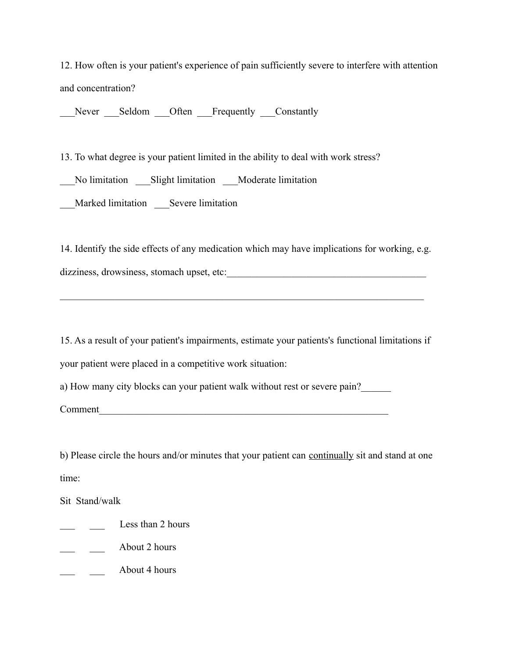12. How often is your patient's experience of pain sufficiently severe to interfere with attention and concentration?

Never Seldom Often Frequently Constantly

13. To what degree is your patient limited in the ability to deal with work stress?

\_\_\_No limitation \_\_\_Slight limitation \_\_\_Moderate limitation

\_\_\_Marked limitation \_\_\_Severe limitation

14. Identify the side effects of any medication which may have implications for working, e.g. dizziness, drowsiness, stomach upset, etc:

 $\mathcal{L}_\text{max} = \mathcal{L}_\text{max} = \mathcal{L}_\text{max} = \mathcal{L}_\text{max} = \mathcal{L}_\text{max} = \mathcal{L}_\text{max} = \mathcal{L}_\text{max} = \mathcal{L}_\text{max} = \mathcal{L}_\text{max} = \mathcal{L}_\text{max} = \mathcal{L}_\text{max} = \mathcal{L}_\text{max} = \mathcal{L}_\text{max} = \mathcal{L}_\text{max} = \mathcal{L}_\text{max} = \mathcal{L}_\text{max} = \mathcal{L}_\text{max} = \mathcal{L}_\text{max} = \mathcal{$ 

15. As a result of your patient's impairments, estimate your patients's functional limitations if your patient were placed in a competitive work situation:

a) How many city blocks can your patient walk without rest or severe pain?

Comment

b) Please circle the hours and/or minutes that your patient can continually sit and stand at one time:

Sit Stand/walk

- Less than 2 hours
- \_\_\_ \_\_\_ About 2 hours
- $\frac{1}{\sqrt{2}}$  About 4 hours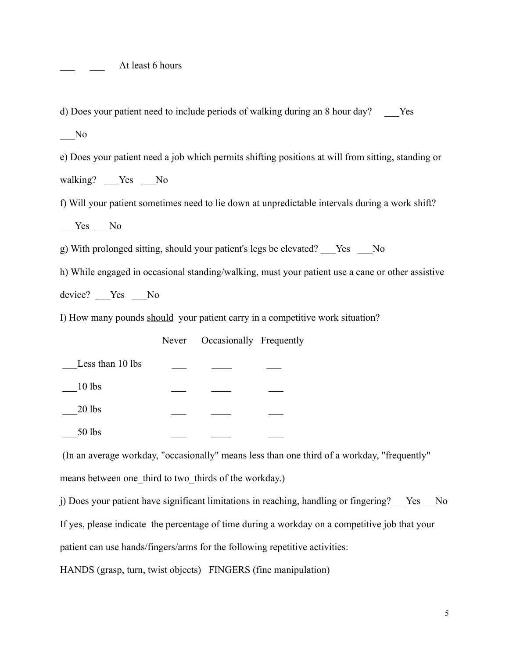At least 6 hours

d) Does your patient need to include periods of walking during an 8 hour day? Yes \_\_\_No e) Does your patient need a job which permits shifting positions at will from sitting, standing or walking? Yes No f) Will your patient sometimes need to lie down at unpredictable intervals during a work shift? Yes No g) With prolonged sitting, should your patient's legs be elevated? \_\_\_Yes \_\_\_No h) While engaged in occasional standing/walking, must your patient use a cane or other assistive device? Yes No I) How many pounds should your patient carry in a competitive work situation? Never Occasionally Frequently Less than 10 lbs \_\_\_10 lbs \_\_\_ \_\_\_\_ \_\_\_ \_\_\_20 lbs \_\_\_ \_\_\_\_ \_\_\_ \_\_\_50 lbs \_\_\_ \_\_\_\_ \_\_\_ (In an average workday, "occasionally" means less than one third of a workday, "frequently"

means between one third to two thirds of the workday.)

j) Does your patient have significant limitations in reaching, handling or fingering? Yes No If yes, please indicate the percentage of time during a workday on a competitive job that your patient can use hands/fingers/arms for the following repetitive activities:

HANDS (grasp, turn, twist objects) FINGERS (fine manipulation)